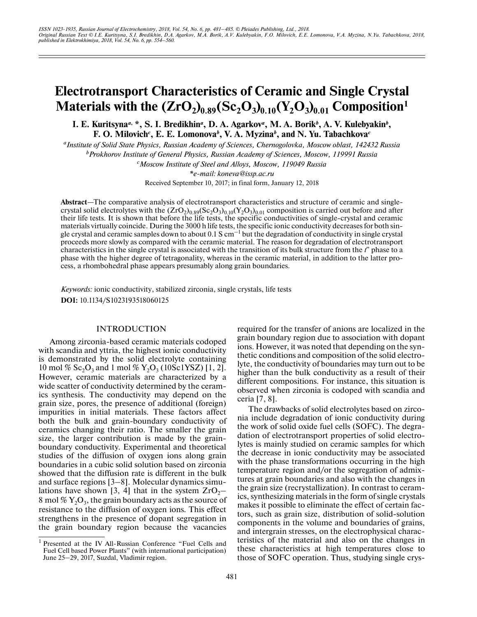# **Electrotransport Characteristics of Ceramic and Single Crystal Materials with the**  $(\text{ZrO}_2)_{0.89}(\text{Sc}_2\text{O}_3)_{0.10}(\text{Y}_2\text{O}_3)_{0.01}$  **Composition<sup>1</sup>**

I. E. Kuritsyna<sup>a, \*</sup>, S. I. Bredikhin<sup>a</sup>, D. A. Agarkov<sup>a</sup>, M. A. Borik<sup>b</sup>, A. V. Kulebyakin<sup>b</sup>, **F. O. Milovich***<sup>c</sup>* **, E. E. Lomonova***<sup>b</sup>* **, V. A. Myzina***<sup>b</sup>* **, and N. Yu. Tabachkova***<sup>c</sup>*

*aInstitute of Solid State Physics, Russian Academy of Sciences, Chernogolovka, Moscow oblast, 142432 Russia b Prokhorov Institute of General Physics, Russian Academy of Sciences, Moscow, 119991 Russia c Moscow Institute of Steel and Alloys, Moscow, 119049 Russia*

> *\*e-mail: koneva@issp.ac.ru* Received September 10, 2017; in final form, January 12, 2018

**Abstract**—The comparative analysis of electrotransport characteristics and structure of ceramic and singlecrystal solid electrolytes with the  $(\text{ZrO}_2)_{0.89}(\text{Sc}_2\text{O}_3)_{0.10}(\text{Y}_2\text{O}_3)_{0.01}$  composition is carried out before and after their life tests. It is shown that before the life tests, the specific conductivities of single-crystal and ceramic materials virtually coincide. During the 3000 h life tests, the specific ionic conductivity decreases for both single crystal and ceramic samples down to about  $0.1 S \text{ cm}^{-1}$  but the degradation of conductivity in single crystal proceeds more slowly as compared with the ceramic material. The reason for degradation of electrotransport characteristics in the single crystal is associated with the transition of its bulk structure from the *t*′′ phase to a phase with the higher degree of tetragonality, whereas in the ceramic material, in addition to the latter process, a rhombohedral phase appears presumably along grain boundaries.

*Keywords:* ionic conductivity, stabilized zirconia, single crystals, life tests **DOI:** 10.1134/S1023193518060125

## INTRODUCTION

Among zirconia-based ceramic materials codoped with scandia and yttria, the highest ionic conductivity is demonstrated by the solid electrolyte containing 10 mol % Sc<sub>2</sub>O<sub>3</sub> and 1 mol % Y<sub>2</sub>O<sub>3</sub> (10Sc1YSZ) [1, 2]. However, ceramic materials are characterized by a wide scatter of conductivity determined by the ceramics synthesis. The conductivity may depend on the grain size, pores, the presence of additional (foreign) impurities in initial materials. These factors affect both the bulk and grain-boundary conductivity of ceramics changing their ratio. The smaller the grain size, the larger contribution is made by the grainboundary conductivity. Experimental and theoretical studies of the diffusion of oxygen ions along grain boundaries in a cubic solid solution based on zirconia showed that the diffusion rate is different in the bulk and surface regions [3–8]. Molecular dynamics simulations have shown [3, 4] that in the system  $ZrO<sub>2</sub>$ – 8 mol  $\%$  Y<sub>2</sub>O<sub>3</sub>, the grain boundary acts as the source of resistance to the diffusion of oxygen ions. This effect strengthens in the presence of dopant segregation in the grain boundary region because the vacancies

required for the transfer of anions are localized in the grain boundary region due to association with dopant ions. However, it was noted that depending on the synthetic conditions and composition of the solid electrolyte, the conductivity of boundaries may turn out to be higher than the bulk conductivity as a result of their different compositions. For instance, this situation is observed when zirconia is codoped with scandia and ceria [7, 8].

The drawbacks of solid electrolytes based on zirconia include degradation of ionic conductivity during the work of solid oxide fuel cells (SOFC). The degradation of electrotransport properties of solid electrolytes is mainly studied on ceramic samples for which the decrease in ionic conductivity may be associated with the phase transformations occurring in the high temperature region and/or the segregation of admixtures at grain boundaries and also with the changes in the grain size (recrystallization). In contrast to ceramics, synthesizing materials in the form of single crystals makes it possible to eliminate the effect of certain factors, such as grain size, distribution of solid-solution components in the volume and boundaries of grains, and intergrain stresses, on the electrophysical characteristics of the material and also on the changes in these characteristics at high temperatures close to those of SOFC operation. Thus, studying single crys-

<sup>&</sup>lt;sup>1</sup> Presented at the IV All-Russian Conference "Fuel Cells and Fuel Cell based Power Plants" (with international participation) June 25-29, 2017, Suzdal, Vladimir region.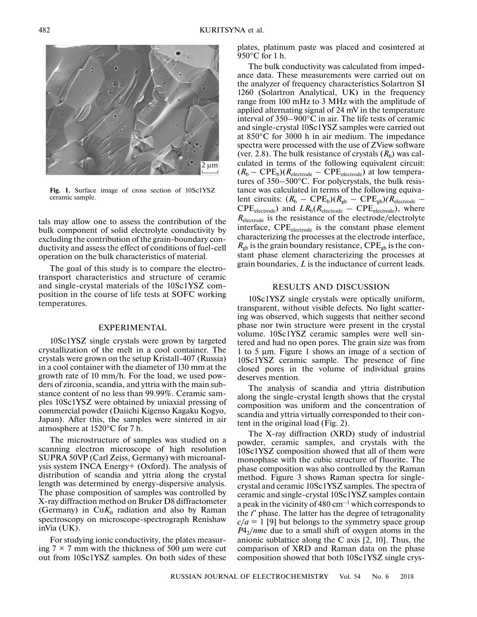

**Fig. 1.** Surface image of cross section of 10Sc1YSZ ceramic sample.

tals may allow one to assess the contribution of the bulk component of solid electrolyte conductivity by excluding the contribution of the grain-boundary conductivity and assess the effect of conditions of fuel-cell operation on the bulk characteristics of material.

The goal of this study is to compare the electrotransport characteristics and structure of ceramic and single-crystal materials of the 10Sc1YSZ composition in the course of life tests at SOFC working temperatures.

#### EXPERIMENTAL

10Sc1YSZ single crystals were grown by targeted crystallization of the melt in a cool container. The crystals were grown on the setup Kristall-407 (Russia) in a cool container with the diameter of 130 mm at the growth rate of 10 mm/h. For the load, we used powders of zirconia, scandia, and yttria with the main substance content of no less than 99.99%. Ceramic samples 10Sc1YSZ were obtained by uniaxial pressing of commercial powder (Daiichi Kigenso Kagaku Kogyo, Japan). After this, the samples were sintered in air atmosphere at 1520°С for 7 h.

The microstructure of samples was studied on a scanning electron microscope of high resolution SUPRA 50VP (Carl Zeiss, Germany) with microanalysis system INCA Energy+ (Oxford). The analysis of distribution of scandia and yttria along the crystal length was determined by energy-dispersive analysis. The phase composition of samples was controlled by X-ray diffraction method on Bruker D8 diffractometer (Germany) in Cu $K_{\alpha}$  radiation and also by Raman spectroscopy on microscope-spectrograph Renishaw inVia (UK).

For studying ionic conductivity, the plates measuring  $7 \times 7$  mm with the thickness of 500 µm were cut out from 10Sc1YSZ samples. On both sides of these plates, platinum paste was placed and cosintered at 950°С for 1 h.

The bulk conductivity was calculated from impedance data. These measurements were carried out on the analyzer of frequency characteristics Solartron SI 1260 (Solartron Analytical, UK) in the frequency range from 100 mHz to 3 MHz with the amplitude of applied alternating signal of 24 mV in the temperature interval of 350–900°С in air. The life tests of ceramic and single-crystal 10Sc1YSZ samples were carried out at 850°С for 3000 h in air medium. The impedance spectra were processed with the use of ZView software (ver. 2.8). The bulk resistance of crystals  $(R_b)$  was calculated in terms of the following equivalent circuit:  $(R_b - \text{CPE}_b)(R_{\text{electrode}} - \text{CPE}_{\text{electrode}})$  at low temperatures of 350–500°С. For polycrystals, the bulk resistance was calculated in terms of the following equivalent circuits:  $(R_b - \text{CPE}_b)(R_{gb} - \text{CPE}_{gb})(R_{\text{electrode}} \text{CPE}_{\text{electrode}}$ ) and  $LR_{\text{b}}(R_{\text{electrode}} - \text{CPE}_{\text{electrode}})$ , where *R*electrode is the resistance of the electrode/electrolyte interface, CPE<sub>electrode</sub> is the constant phase element characterizing the processes at the electrode interface,  $R_{\text{gb}}$  is the grain boundary resistance, CPE<sub>gb</sub> is the constant phase element characterizing the processes at grain boundaries, *L* is the inductance of current leads.

## RESULTS AND DISCUSSION

10Sc1YSZ single crystals were optically uniform, transparent, without visible defects. No light scattering was observed, which suggests that neither second phase nor twin structure were present in the crystal volume. 10Sc1YSZ ceramic samples were well sintered and had no open pores. The grain size was from 1 to 5 μm. Figure 1 shows an image of a section of 10Sc1YSZ ceramic sample. The presence of fine closed pores in the volume of individual grains deserves mention.

The analysis of scandia and yttria distribution along the single-crystal length shows that the crystal composition was uniform and the concentration of scandia and yttria virtually corresponded to their content in the original load (Fig. 2).

The X-ray diffraction (XRD) study of industrial powder, ceramic samples, and crystals with the 10Sc1YSZ composition showed that all of them were monophase with the cubic structure of fluorite. The phase composition was also controlled by the Raman method. Figure 3 shows Raman spectra for singlecrystal and ceramic 10Sc1YSZ samples. The spectra of ceramic and single-crystal 10Sc1YSZ samples contain a peak in the vicinity of 480 cm<sup>-1</sup> which corresponds to the *t*′′ phase. The latter has the degree of tetragonality  $c/a = 1$  [9] but belongs to the symmetry space group  $P_2/mmc$  due to a small shift of oxygen atoms in the anionic sublattice along the С axis [2, 10]. Thus, the comparison of XRD and Raman data on the phase composition showed that both 10Sc1YSZ single crys-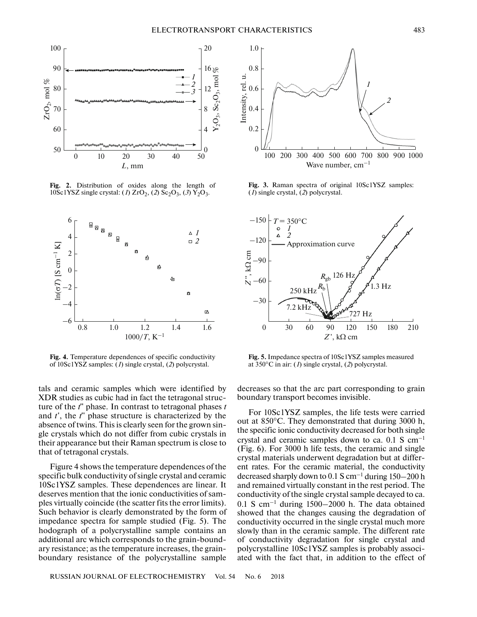

**Fig. 2.** Distribution of oxides along the length of 10Sc1YSZ single crystal: (1)  $ZrO_2$ , (2) Sc<sub>2</sub>O<sub>3</sub>, (3) Y<sub>2</sub>O<sub>3</sub>.



**Fig. 4.** Temperature dependences of specific conductivity of 10Sc1YSZ samples: (*1*) single crystal, (*2*) polycrystal.

tals and ceramic samples which were identified by XDR studies as cubic had in fact the tetragonal structure of the *t*′′ phase. In contrast to tetragonal phases *t* and *t*′, the *t*′′ phase structure is characterized by the absence of twins. This is clearly seen for the grown single crystals which do not differ from cubic crystals in their appearance but their Raman spectrum is close to that of tetragonal crystals.

Figure 4 shows the temperature dependences of the specific bulk conductivity of single crystal and ceramic 10Sc1YSZ samples. These dependences are linear. It deserves mention that the ionic conductivities of samples virtually coincide (the scatter fits the error limits). Such behavior is clearly demonstrated by the form of impedance spectra for sample studied (Fig. 5). The hodograph of a polycrystalline sample contains an additional arc which corresponds to the grain-boundary resistance; as the temperature increases, the grainboundary resistance of the polycrystalline sample



**Fig. 3.** Raman spectra of original 10Sc1YSZ samples: (*1*) single crystal, (*2*) polycrystal.



**Fig. 5.** Impedance spectra of 10Sc1YSZ samples measured at 350°С in air: (*1*) single crystal, (*2*) polycrystal.

decreases so that the arc part corresponding to grain boundary transport becomes invisible.

For 10Sc1YSZ samples, the life tests were carried out at 850°С. They demonstrated that during 3000 h, the specific ionic conductivity decreased for both single crystal and ceramic samples down to ca.  $0.1$  S cm<sup>-1</sup> (Fig. 6). For 3000 h life tests, the ceramic and single crystal materials underwent degradation but at different rates. For the ceramic material, the conductivity decreased sharply down to 0.1 S cm–1 during 150–200 h and remained virtually constant in the rest period. The conductivity of the single crystal sample decayed to ca.  $0.1$  S cm<sup>-1</sup> during  $1500-2000$  h. The data obtained showed that the changes causing the degradation of conductivity occurred in the single crystal much more slowly than in the ceramic sample. The different rate of conductivity degradation for single crystal and polycrystalline 10Sc1YSZ samples is probably associated with the fact that, in addition to the effect of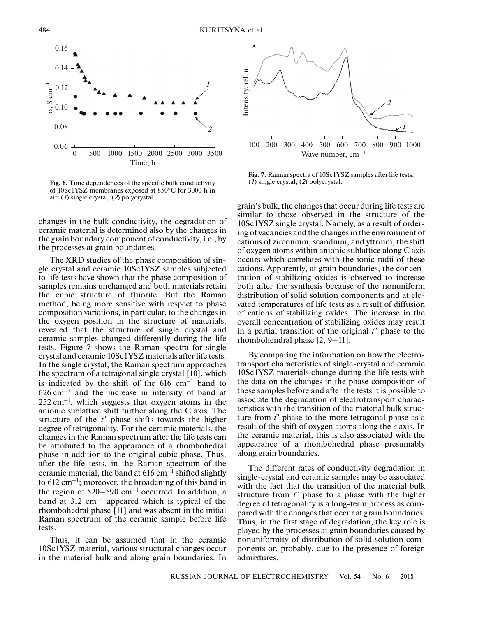

**Fig. 6.** Time dependences of the specific bulk conductivity of 10Sc1YSZ membranes exposed at 850°С for 3000 h in air: (*1*) single crystal, (*2*) polycrystal.

changes in the bulk conductivity, the degradation of ceramic material is determined also by the changes in the grain boundary component of conductivity, i.e., by the processes at grain boundaries.

The XRD studies of the phase composition of single crystal and ceramic 10Sc1YSZ samples subjected to life tests have shown that the phase composition of samples remains unchanged and both materials retain the cubic structure of fluorite. But the Raman method, being more sensitive with respect to phase composition variations, in particular, to the changes in the oxygen position in the structure of materials, revealed that the structure of single crystal and ceramic samples changed differently during the life tests. Figure 7 shows the Raman spectra for single crystal and ceramic 10Sc1YSZ materials after life tests. In the single crystal, the Raman spectrum approaches the spectrum of a tetragonal single crystal [10], which is indicated by the shift of the  $616 \text{ cm}^{-1}$  band to  $626 \text{ cm}^{-1}$  and the increase in intensity of band at  $252 \text{ cm}^{-1}$ , which suggests that oxygen atoms in the anionic sublattice shift further along the C axis. The structure of the *t*′′ phase shifts towards the higher degree of tetragonality. For the ceramic materials, the changes in the Raman spectrum after the life tests can be attributed to the appearance of a rhombohedral phase in addition to the original cubic phase. Thus, after the life tests, in the Raman spectrum of the ceramic material, the band at  $616 \text{ cm}^{-1}$  shifted slightly to  $612 \text{ cm}^{-1}$ ; moreover, the broadening of this band in the region of  $520-590$  cm<sup>-1</sup> occurred. In addition, a band at  $312 \text{ cm}^{-1}$  appeared which is typical of the rhombohedral phase [11] and was absent in the initial Raman spectrum of the ceramic sample before life tests.

Thus, it can be assumed that in the ceramic 10Sc1YSZ material, various structural changes occur in the material bulk and along grain boundaries. In



**Fig. 7.** Raman spectra of 10Sc1YSZ samples after life tests: (*1*) single crystal, (*2*) polycrystal.

grain's bulk, the changes that occur during life tests are similar to those observed in the structure of the 10Sc1YSZ single crystal. Namely, as a result of ordering of vacancies and the changes in the environment of cations of zirconium, scandium, and yttrium, the shift of oxygen atoms within anionic sublattice along C axis occurs which correlates with the ionic radii of these cations. Apparently, at grain boundaries, the concentration of stabilizing oxides is observed to increase both after the synthesis because of the nonuniform distribution of solid solution components and at elevated temperatures of life tests as a result of diffusion of cations of stabilizing oxides. The increase in the overall concentration of stabilizing oxides may result in a partial transition of the original *t*′′ phase to the rhombohendral phase [2, 9–11].

By comparing the information on how the electrotransport characteristics of single-crystal and ceramic 10Sc1YSZ materials change during the life tests with the data on the changes in the phase composition of these samples before and after the tests it is possible to associate the degradation of electrotransport characteristics with the transition of the material bulk structure from *t*′′ phase to the more tetragonal phase as a result of the shift of oxygen atoms along the *c* axis. In the ceramic material, this is also associated with the appearance of a rhombohedral phase presumably along grain boundaries.

The different rates of conductivity degradation in single-crystal and ceramic samples may be associated with the fact that the transition of the material bulk structure from *t*′′ phase to a phase with the higher degree of tetragonality is a long-term process as compared with the changes that occur at grain boundaries. Thus, in the first stage of degradation, the key role is played by the processes at grain boundaries caused by nonuniformity of distribution of solid solution components or, probably, due to the presence of foreign admixtures.